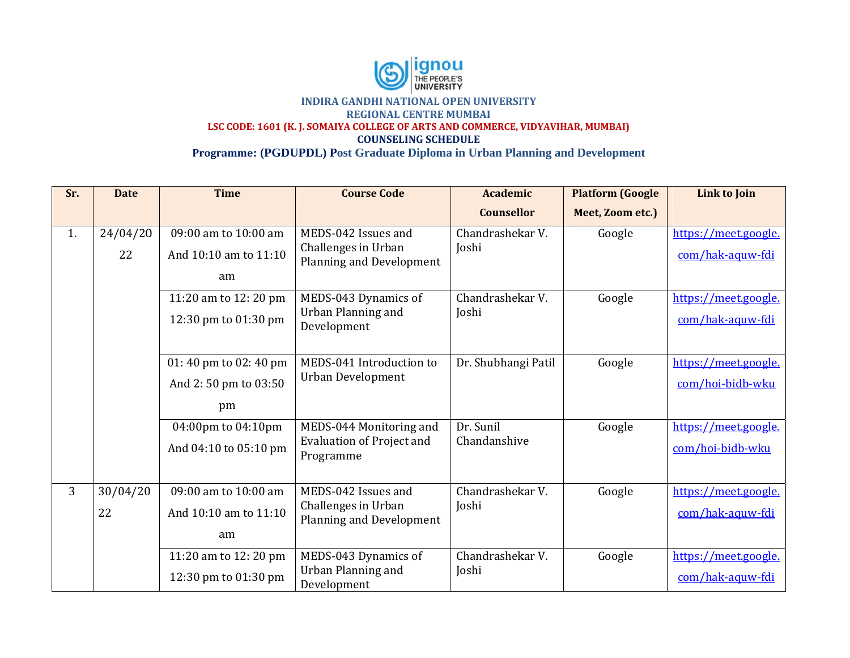

**Sr**13**. Date** . 24/04/20 022 3 30/04/20 022 **Tiime** 0 | 09:00 am to 10:00 am And 10:10 am to 11:10 aam 11:20 am t to 12: 20 pm 12:30 pm t to 01:30 pm 01: 40 pm t to 02: 40 pm And 2: 50 p pm to 03:50 p pm 04:00pm to 04:10pm And 04:10 to 05:10 pm 0 | 09:00 am to 10:00 am And 10:10 am to 11:10 aam 11:20 am t to 12: 20 pm 12:30 pm t to 01:30 pm **Coursee Code** MEDS-042 Issues and Challenges in U Urban Planning and D Development MEDS-043 Dyn namics of Urban Planning and Development MEDS-041 Introduction to Urban Develop pment MEDS-044 Monitoring and Evaluation of P Project and Programme MEDS-042 Issues and Challenges in U Urban Planning and D Development MEDS-043 Dyn namics of Urban Plannin ng and Development **Academmic Counselllor** Chandrashekar V. Joshi Chandrashekar V. Joshi Dr. Shubhang gi Patil Dr. Sunil Chandanshive Chandrashekar V. Joshi Chandrashekar V. Joshi **Platfoorm (Google Meett, Zoom etc.)**  Google Google Google Google Google Google Link to Join <u>https://meet.google.</u> <u>com/hak-aquw-fdi</u> <u>https://meet.google.</u> <u>com/hak-aquw-fdi</u> <u>https://meet.google.</u> <u>com/hoi-bidb-wku</u> <u>https://meet.google.</u> <u>com/hoi-bidb-wku</u> <u>https://meet.google.</u> <u>com/hak-aquw-fdi</u> <u>https://meet.google.</u> <u>com/hak-aquw-fdi</u>